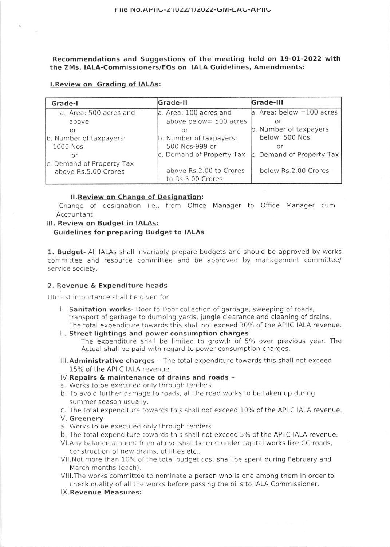Recommendations and Suggestions of the meeting held on 19-01-2022 with the ZMs, IALA-Commissioners/Eos on IALA Guidelines, Amendments:

### l.Review on Grading of IALAs:

| Grade-I                   | Grade-II                  | Grade-III                    |
|---------------------------|---------------------------|------------------------------|
| a. Area: 500 acres and    | a. Area: 100 acres and    | $a.$ Area: below = 100 acres |
| above                     | above below = 500 acres   | Οľ                           |
| or                        | Οľ                        | b. Number of taxpayers       |
| b. Number of taxpayers:   | b. Number of taxpayers:   | below: 500 Nos.              |
| 1000 Nos.                 | 500 Nos-999 or            | or                           |
| or                        | c. Demand of Property Tax | c. Demand of Property Tax    |
| c. Demand of Property Tax |                           |                              |
| above Rs.5.00 Crores      | above Rs.2.00 to Crores   | below Rs.2.00 Crores         |
|                           | to Rs.5.00 Crores         |                              |

### **II. Review on Change of Designation:**

Change of designation i.e., from Office Manager to Office Manager cum Accountant.

## lll. Review on Budget in IALAs:

# Guidelines for preparing Budget to IALAS

1. Budget- All IALAs shall invariably prepare budgets and should be approved by works committee and resource committee and be approved by management committee/ service society.

## 2. Revenue & Expenditure heads

Utmost importance shall be given for

- l. Sanitation works- Door to Door collection of garbage, sweeping of roads, transport of garbage to dumping yards, jungle clearance and cleaning of drains. The total expenditure towards this shall not exceed 30% of the APIIC IALA revenue.
- ll. Street lightings and power consumption charges The expenditure shall be limited to growth of 5% over previous year. The Actual shall be paid with regard to power consumption charges.
- III. Administrative charges The total expenditure towards this shall not exceed 15% of the APIIC IALA revenue,
- lV.Repairs & maintenance of drains and roads -
- a. Works to be executed only through tenders
- b. To avoid further damage to roads, all the road works to be taken up during summer season usually.
- c. The total expenditure towards this shall not exceed 10% of the APIIC IALA revenue.
- V. Greenery
- a. Works to be executed only through tenders
- b. The total expenditure towards this shall not exceed 5% of the APIIC IALA revenue.
- VI. Any balance amount from above shall be met under capital works like CC roads, construction of new drains, utilities etc.,
- Vll.Not more than 10% of the total budget cost shall be spent during February and March months (each).
- Vlll.The works committee to nominate a person who is one among them in order to check quality of all the works before passing the bilis to IALA Commissioner.
- lX.Revenue Measures: